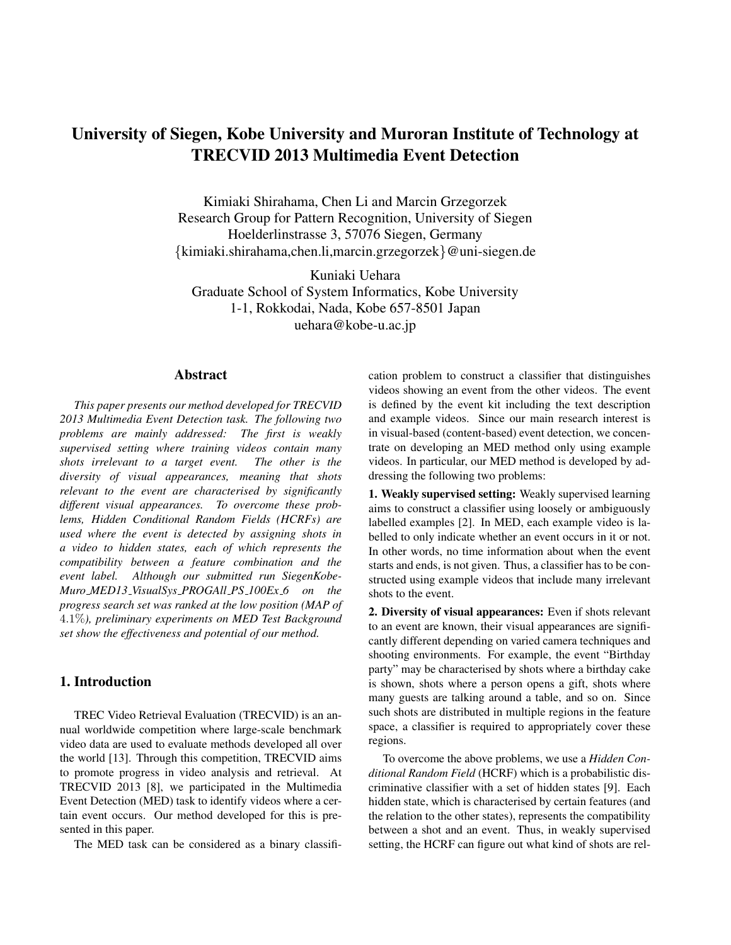# University of Siegen, Kobe University and Muroran Institute of Technology at TRECVID 2013 Multimedia Event Detection

Kimiaki Shirahama, Chen Li and Marcin Grzegorzek Research Group for Pattern Recognition, University of Siegen Hoelderlinstrasse 3, 57076 Siegen, Germany {kimiaki.shirahama,chen.li,marcin.grzegorzek}@uni-siegen.de

Kuniaki Uehara Graduate School of System Informatics, Kobe University 1-1, Rokkodai, Nada, Kobe 657-8501 Japan uehara@kobe-u.ac.jp

# Abstract

*This paper presents our method developed for TRECVID 2013 Multimedia Event Detection task. The following two problems are mainly addressed: The first is weakly supervised setting where training videos contain many shots irrelevant to a target event. The other is the diversity of visual appearances, meaning that shots relevant to the event are characterised by significantly different visual appearances. To overcome these problems, Hidden Conditional Random Fields (HCRFs) are used where the event is detected by assigning shots in a video to hidden states, each of which represents the compatibility between a feature combination and the event label. Although our submitted run SiegenKobe-Muro MED13 VisualSys PROGAll PS 100Ex 6 on the progress search set was ranked at the low position (MAP of* 4.1%*), preliminary experiments on MED Test Background set show the effectiveness and potential of our method.*

# 1. Introduction

TREC Video Retrieval Evaluation (TRECVID) is an annual worldwide competition where large-scale benchmark video data are used to evaluate methods developed all over the world [13]. Through this competition, TRECVID aims to promote progress in video analysis and retrieval. At TRECVID 2013 [8], we participated in the Multimedia Event Detection (MED) task to identify videos where a certain event occurs. Our method developed for this is presented in this paper.

The MED task can be considered as a binary classifi-

cation problem to construct a classifier that distinguishes videos showing an event from the other videos. The event is defined by the event kit including the text description and example videos. Since our main research interest is in visual-based (content-based) event detection, we concentrate on developing an MED method only using example videos. In particular, our MED method is developed by addressing the following two problems:

1. Weakly supervised setting: Weakly supervised learning aims to construct a classifier using loosely or ambiguously labelled examples [2]. In MED, each example video is labelled to only indicate whether an event occurs in it or not. In other words, no time information about when the event starts and ends, is not given. Thus, a classifier has to be constructed using example videos that include many irrelevant shots to the event.

2. Diversity of visual appearances: Even if shots relevant to an event are known, their visual appearances are significantly different depending on varied camera techniques and shooting environments. For example, the event "Birthday party" may be characterised by shots where a birthday cake is shown, shots where a person opens a gift, shots where many guests are talking around a table, and so on. Since such shots are distributed in multiple regions in the feature space, a classifier is required to appropriately cover these regions.

To overcome the above problems, we use a *Hidden Conditional Random Field* (HCRF) which is a probabilistic discriminative classifier with a set of hidden states [9]. Each hidden state, which is characterised by certain features (and the relation to the other states), represents the compatibility between a shot and an event. Thus, in weakly supervised setting, the HCRF can figure out what kind of shots are rel-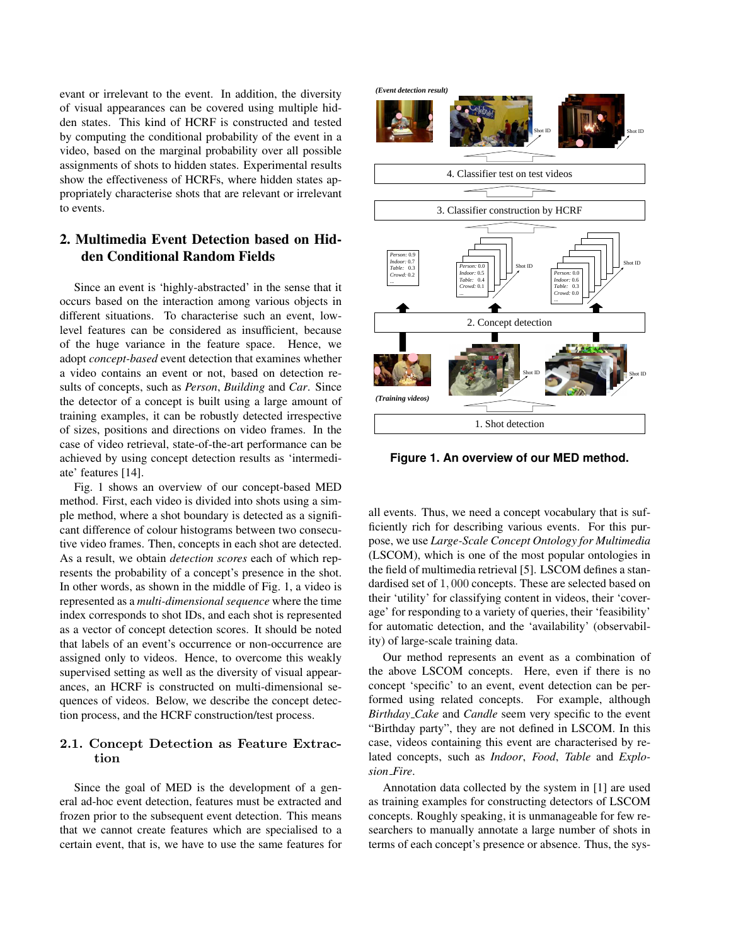evant or irrelevant to the event. In addition, the diversity of visual appearances can be covered using multiple hidden states. This kind of HCRF is constructed and tested by computing the conditional probability of the event in a video, based on the marginal probability over all possible assignments of shots to hidden states. Experimental results show the effectiveness of HCRFs, where hidden states appropriately characterise shots that are relevant or irrelevant to events.

# 2. Multimedia Event Detection based on Hidden Conditional Random Fields

Since an event is 'highly-abstracted' in the sense that it occurs based on the interaction among various objects in different situations. To characterise such an event, lowlevel features can be considered as insufficient, because of the huge variance in the feature space. Hence, we adopt *concept-based* event detection that examines whether a video contains an event or not, based on detection results of concepts, such as *Person*, *Building* and *Car*. Since the detector of a concept is built using a large amount of training examples, it can be robustly detected irrespective of sizes, positions and directions on video frames. In the case of video retrieval, state-of-the-art performance can be achieved by using concept detection results as 'intermediate' features [14].

Fig. 1 shows an overview of our concept-based MED method. First, each video is divided into shots using a simple method, where a shot boundary is detected as a significant difference of colour histograms between two consecutive video frames. Then, concepts in each shot are detected. As a result, we obtain *detection scores* each of which represents the probability of a concept's presence in the shot. In other words, as shown in the middle of Fig. 1, a video is represented as a *multi-dimensional sequence* where the time index corresponds to shot IDs, and each shot is represented as a vector of concept detection scores. It should be noted that labels of an event's occurrence or non-occurrence are assigned only to videos. Hence, to overcome this weakly supervised setting as well as the diversity of visual appearances, an HCRF is constructed on multi-dimensional sequences of videos. Below, we describe the concept detection process, and the HCRF construction/test process.

# 2.1. Concept Detection as Feature Extraction

Since the goal of MED is the development of a general ad-hoc event detection, features must be extracted and frozen prior to the subsequent event detection. This means that we cannot create features which are specialised to a certain event, that is, we have to use the same features for



**Figure 1. An overview of our MED method.**

all events. Thus, we need a concept vocabulary that is sufficiently rich for describing various events. For this purpose, we use *Large-Scale Concept Ontology for Multimedia* (LSCOM), which is one of the most popular ontologies in the field of multimedia retrieval [5]. LSCOM defines a standardised set of 1, 000 concepts. These are selected based on their 'utility' for classifying content in videos, their 'coverage' for responding to a variety of queries, their 'feasibility' for automatic detection, and the 'availability' (observability) of large-scale training data.

Our method represents an event as a combination of the above LSCOM concepts. Here, even if there is no concept 'specific' to an event, event detection can be performed using related concepts. For example, although *Birthday Cake* and *Candle* seem very specific to the event "Birthday party", they are not defined in LSCOM. In this case, videos containing this event are characterised by related concepts, such as *Indoor*, *Food*, *Table* and *Explosion Fire*.

Annotation data collected by the system in [1] are used as training examples for constructing detectors of LSCOM concepts. Roughly speaking, it is unmanageable for few researchers to manually annotate a large number of shots in terms of each concept's presence or absence. Thus, the sys-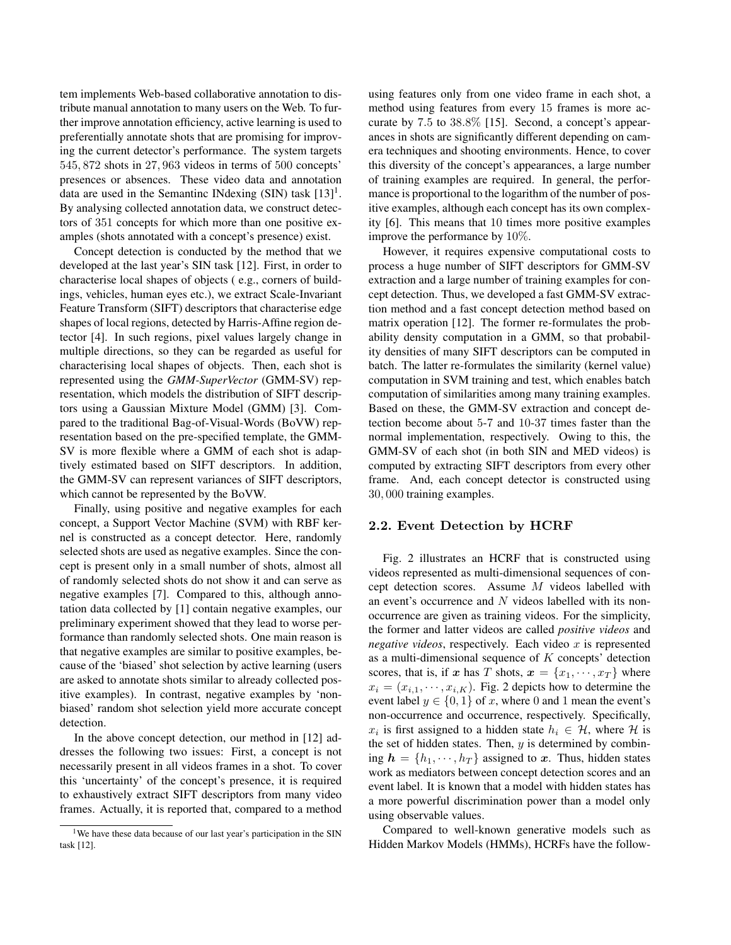tem implements Web-based collaborative annotation to distribute manual annotation to many users on the Web. To further improve annotation efficiency, active learning is used to preferentially annotate shots that are promising for improving the current detector's performance. The system targets 545, 872 shots in 27, 963 videos in terms of 500 concepts' presences or absences. These video data and annotation data are used in the Semantinc INdexing (SIN) task  $[13]$ <sup>1</sup>. By analysing collected annotation data, we construct detectors of 351 concepts for which more than one positive examples (shots annotated with a concept's presence) exist.

Concept detection is conducted by the method that we developed at the last year's SIN task [12]. First, in order to characterise local shapes of objects ( e.g., corners of buildings, vehicles, human eyes etc.), we extract Scale-Invariant Feature Transform (SIFT) descriptors that characterise edge shapes of local regions, detected by Harris-Affine region detector [4]. In such regions, pixel values largely change in multiple directions, so they can be regarded as useful for characterising local shapes of objects. Then, each shot is represented using the *GMM-SuperVector* (GMM-SV) representation, which models the distribution of SIFT descriptors using a Gaussian Mixture Model (GMM) [3]. Compared to the traditional Bag-of-Visual-Words (BoVW) representation based on the pre-specified template, the GMM-SV is more flexible where a GMM of each shot is adaptively estimated based on SIFT descriptors. In addition, the GMM-SV can represent variances of SIFT descriptors, which cannot be represented by the BoVW.

Finally, using positive and negative examples for each concept, a Support Vector Machine (SVM) with RBF kernel is constructed as a concept detector. Here, randomly selected shots are used as negative examples. Since the concept is present only in a small number of shots, almost all of randomly selected shots do not show it and can serve as negative examples [7]. Compared to this, although annotation data collected by [1] contain negative examples, our preliminary experiment showed that they lead to worse performance than randomly selected shots. One main reason is that negative examples are similar to positive examples, because of the 'biased' shot selection by active learning (users are asked to annotate shots similar to already collected positive examples). In contrast, negative examples by 'nonbiased' random shot selection yield more accurate concept detection.

In the above concept detection, our method in [12] addresses the following two issues: First, a concept is not necessarily present in all videos frames in a shot. To cover this 'uncertainty' of the concept's presence, it is required to exhaustively extract SIFT descriptors from many video frames. Actually, it is reported that, compared to a method

using features only from one video frame in each shot, a method using features from every 15 frames is more accurate by 7.5 to 38.8% [15]. Second, a concept's appearances in shots are significantly different depending on camera techniques and shooting environments. Hence, to cover this diversity of the concept's appearances, a large number of training examples are required. In general, the performance is proportional to the logarithm of the number of positive examples, although each concept has its own complexity [6]. This means that 10 times more positive examples improve the performance by 10%.

However, it requires expensive computational costs to process a huge number of SIFT descriptors for GMM-SV extraction and a large number of training examples for concept detection. Thus, we developed a fast GMM-SV extraction method and a fast concept detection method based on matrix operation [12]. The former re-formulates the probability density computation in a GMM, so that probability densities of many SIFT descriptors can be computed in batch. The latter re-formulates the similarity (kernel value) computation in SVM training and test, which enables batch computation of similarities among many training examples. Based on these, the GMM-SV extraction and concept detection become about 5-7 and 10-37 times faster than the normal implementation, respectively. Owing to this, the GMM-SV of each shot (in both SIN and MED videos) is computed by extracting SIFT descriptors from every other frame. And, each concept detector is constructed using 30, 000 training examples.

#### 2.2. Event Detection by HCRF

Fig. 2 illustrates an HCRF that is constructed using videos represented as multi-dimensional sequences of concept detection scores. Assume M videos labelled with an event's occurrence and N videos labelled with its nonoccurrence are given as training videos. For the simplicity, the former and latter videos are called *positive videos* and *negative videos*, respectively. Each video  $x$  is represented as a multi-dimensional sequence of  $K$  concepts' detection scores, that is, if x has T shots,  $x = \{x_1, \dots, x_T\}$  where  $x_i = (x_{i,1}, \dots, x_{i,K})$ . Fig. 2 depicts how to determine the event label  $y \in \{0, 1\}$  of x, where 0 and 1 mean the event's non-occurrence and occurrence, respectively. Specifically,  $x_i$  is first assigned to a hidden state  $h_i \in \mathcal{H}$ , where  $\mathcal{H}$  is the set of hidden states. Then,  $y$  is determined by combining  $h = \{h_1, \dots, h_T\}$  assigned to x. Thus, hidden states work as mediators between concept detection scores and an event label. It is known that a model with hidden states has a more powerful discrimination power than a model only using observable values.

Compared to well-known generative models such as Hidden Markov Models (HMMs), HCRFs have the follow-

<sup>&</sup>lt;sup>1</sup>We have these data because of our last year's participation in the SIN task [12].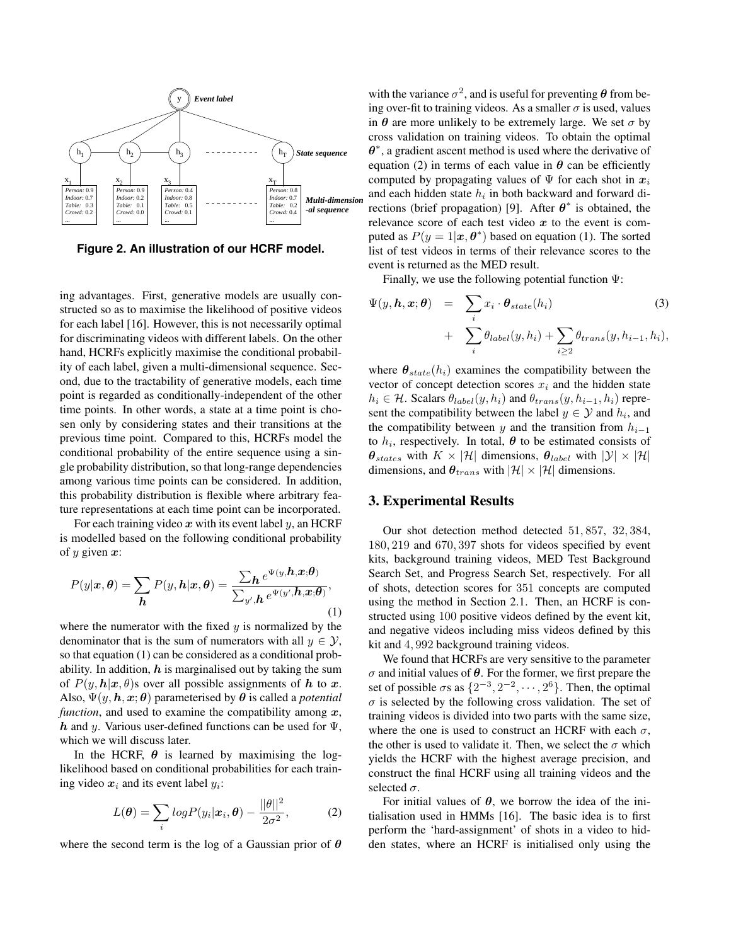

**Figure 2. An illustration of our HCRF model.**

ing advantages. First, generative models are usually constructed so as to maximise the likelihood of positive videos for each label [16]. However, this is not necessarily optimal for discriminating videos with different labels. On the other hand, HCRFs explicitly maximise the conditional probability of each label, given a multi-dimensional sequence. Second, due to the tractability of generative models, each time point is regarded as conditionally-independent of the other time points. In other words, a state at a time point is chosen only by considering states and their transitions at the previous time point. Compared to this, HCRFs model the conditional probability of the entire sequence using a single probability distribution, so that long-range dependencies among various time points can be considered. In addition, this probability distribution is flexible where arbitrary feature representations at each time point can be incorporated.

For each training video  $x$  with its event label  $y$ , an HCRF is modelled based on the following conditional probability of  $y$  given  $x$ :

$$
P(y|\boldsymbol{x}, \boldsymbol{\theta}) = \sum_{\boldsymbol{h}} P(y, \boldsymbol{h} | \boldsymbol{x}, \boldsymbol{\theta}) = \frac{\sum_{\boldsymbol{h}} e^{\Psi(y, \boldsymbol{h}, \boldsymbol{x}; \boldsymbol{\theta})}}{\sum_{y', \boldsymbol{h}} e^{\Psi(y', \boldsymbol{h}, \boldsymbol{x}; \boldsymbol{\theta})}},
$$
(1)

where the numerator with the fixed  $y$  is normalized by the denominator that is the sum of numerators with all  $y \in \mathcal{Y}$ , so that equation (1) can be considered as a conditional probability. In addition,  $h$  is marginalised out by taking the sum of  $P(y, h|x, \theta)$ s over all possible assignments of h to x. Also,  $\Psi(y, h, x; \theta)$  parameterised by  $\theta$  is called a *potential function*, and used to examine the compatibility among  $x$ , h and y. Various user-defined functions can be used for  $\Psi$ , which we will discuss later.

In the HCRF,  $\theta$  is learned by maximising the loglikelihood based on conditional probabilities for each training video  $x_i$  and its event label  $y_i$ :

$$
L(\boldsymbol{\theta}) = \sum_{i} log P(y_i | \boldsymbol{x}_i, \boldsymbol{\theta}) - \frac{||\boldsymbol{\theta}||^2}{2\sigma^2},
$$
 (2)

where the second term is the log of a Gaussian prior of  $\theta$ 

with the variance  $\sigma^2$ , and is useful for preventing  $\theta$  from being over-fit to training videos. As a smaller  $\sigma$  is used, values in  $\theta$  are more unlikely to be extremely large. We set  $\sigma$  by cross validation on training videos. To obtain the optimal  $\theta^*$ , a gradient ascent method is used where the derivative of equation (2) in terms of each value in  $\theta$  can be efficiently computed by propagating values of  $\Psi$  for each shot in  $x_i$ and each hidden state  $h_i$  in both backward and forward directions (brief propagation) [9]. After  $\theta^*$  is obtained, the relevance score of each test video  $x$  to the event is computed as  $P(y = 1 | x, \theta^*)$  based on equation (1). The sorted list of test videos in terms of their relevance scores to the event is returned as the MED result.

Finally, we use the following potential function  $\Psi$ :

$$
\Psi(y, h, x; \theta) = \sum_{i} x_i \cdot \theta_{state}(h_i)
$$
\n
$$
+ \sum_{i} \theta_{label}(y, h_i) + \sum_{i \ge 2} \theta_{trans}(y, h_{i-1}, h_i),
$$
\n(3)

where  $\theta_{state}(h_i)$  examines the compatibility between the vector of concept detection scores  $x_i$  and the hidden state  $h_i \in \mathcal{H}$ . Scalars  $\theta_{label}(y, h_i)$  and  $\theta_{trans}(y, h_{i-1}, h_i)$  represent the compatibility between the label  $y \in \mathcal{Y}$  and  $h_i$ , and the compatibility between y and the transition from  $h_{i-1}$ to  $h_i$ , respectively. In total,  $\boldsymbol{\theta}$  to be estimated consists of  $\theta_{states}$  with  $K \times |\mathcal{H}|$  dimensions,  $\theta_{label}$  with  $|\mathcal{Y}| \times |\mathcal{H}|$ dimensions, and  $\theta_{trans}$  with  $|\mathcal{H}| \times |\mathcal{H}|$  dimensions.

## 3. Experimental Results

Our shot detection method detected 51, 857, 32, 384, 180, 219 and 670, 397 shots for videos specified by event kits, background training videos, MED Test Background Search Set, and Progress Search Set, respectively. For all of shots, detection scores for 351 concepts are computed using the method in Section 2.1. Then, an HCRF is constructed using 100 positive videos defined by the event kit, and negative videos including miss videos defined by this kit and 4, 992 background training videos.

We found that HCRFs are very sensitive to the parameter  $\sigma$  and initial values of  $\theta$ . For the former, we first prepare the set of possible  $\sigma s$  as  $\{2^{-3}, 2^{-2}, \cdots, 2^6\}$ . Then, the optimal  $\sigma$  is selected by the following cross validation. The set of training videos is divided into two parts with the same size, where the one is used to construct an HCRF with each  $\sigma$ , the other is used to validate it. Then, we select the  $\sigma$  which yields the HCRF with the highest average precision, and construct the final HCRF using all training videos and the selected  $\sigma$ .

For initial values of  $\theta$ , we borrow the idea of the initialisation used in HMMs [16]. The basic idea is to first perform the 'hard-assignment' of shots in a video to hidden states, where an HCRF is initialised only using the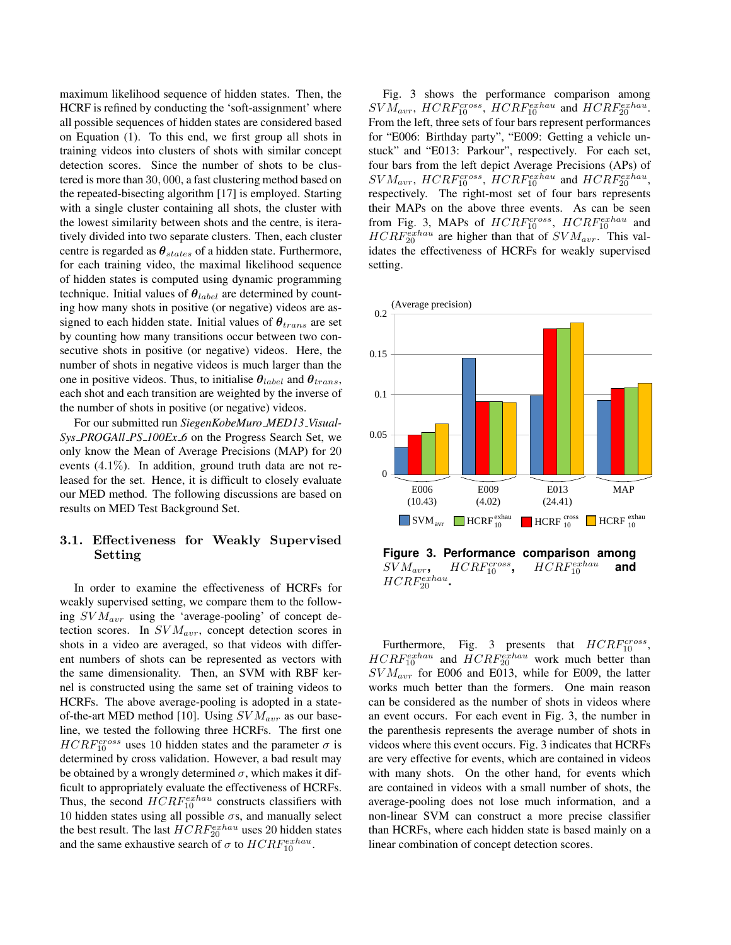maximum likelihood sequence of hidden states. Then, the HCRF is refined by conducting the 'soft-assignment' where all possible sequences of hidden states are considered based on Equation (1). To this end, we first group all shots in training videos into clusters of shots with similar concept detection scores. Since the number of shots to be clustered is more than 30, 000, a fast clustering method based on the repeated-bisecting algorithm [17] is employed. Starting with a single cluster containing all shots, the cluster with the lowest similarity between shots and the centre, is iteratively divided into two separate clusters. Then, each cluster centre is regarded as  $\theta_{states}$  of a hidden state. Furthermore, for each training video, the maximal likelihood sequence of hidden states is computed using dynamic programming technique. Initial values of  $\theta_{label}$  are determined by counting how many shots in positive (or negative) videos are assigned to each hidden state. Initial values of  $\theta_{trans}$  are set by counting how many transitions occur between two consecutive shots in positive (or negative) videos. Here, the number of shots in negative videos is much larger than the one in positive videos. Thus, to initialise  $\theta_{label}$  and  $\theta_{trans}$ , each shot and each transition are weighted by the inverse of the number of shots in positive (or negative) videos.

For our submitted run *SiegenKobeMuro MED13 Visual-Sys PROGAll PS 100Ex 6* on the Progress Search Set, we only know the Mean of Average Precisions (MAP) for 20 events (4.1%). In addition, ground truth data are not released for the set. Hence, it is difficult to closely evaluate our MED method. The following discussions are based on results on MED Test Background Set.

# 3.1. Effectiveness for Weakly Supervised Setting

In order to examine the effectiveness of HCRFs for weakly supervised setting, we compare them to the following  $SVM_{avr}$  using the 'average-pooling' of concept detection scores. In  $SVM_{avr}$ , concept detection scores in shots in a video are averaged, so that videos with different numbers of shots can be represented as vectors with the same dimensionality. Then, an SVM with RBF kernel is constructed using the same set of training videos to HCRFs. The above average-pooling is adopted in a stateof-the-art MED method [10]. Using  $SVM_{avr}$  as our baseline, we tested the following three HCRFs. The first one  $HCRF_{10}^{cross}$  uses 10 hidden states and the parameter  $\sigma$  is determined by cross validation. However, a bad result may be obtained by a wrongly determined  $\sigma$ , which makes it difficult to appropriately evaluate the effectiveness of HCRFs. Thus, the second  $HCRF_{10}^{exhau}$  constructs classifiers with 10 hidden states using all possible  $\sigma s$ , and manually select the best result. The last  $HCRF_{20}^{exhau}$  uses 20 hidden states and the same exhaustive search of  $\sigma$  to  $HCRF_{10}^{exhau}$ .

Fig. 3 shows the performance comparison among  $SVM_{avr}$ ,  $HCRF_{10}^{cross}$ ,  $HCRF_{10}^{exhau}$  and  $HCRF_{20}^{exhau}$ . From the left, three sets of four bars represent performances for "E006: Birthday party", "E009: Getting a vehicle unstuck" and "E013: Parkour", respectively. For each set, four bars from the left depict Average Precisions (APs) of  $SVM_{avr}$ ,  $HCRF_{10}^{cross}$ ,  $HCRF_{10}^{exhau}$  and  $HCRF_{20}^{exhau}$ , respectively. The right-most set of four bars represents their MAPs on the above three events. As can be seen from Fig. 3, MAPs of  $HCRF_{10}^{cross}$ ,  $HCRF_{10}^{exhau}$  and  $HCRF_{20}^{exhau}$  are higher than that of  $SVM_{avr}$ . This validates the effectiveness of HCRFs for weakly supervised setting.



Furthermore, Fig. 3 presents that  $HCRF_{10}^{cross}$ ,  $HCRF_{10}^{exhau}$  and  $HCRF_{20}^{exhau}$  work much better than  $SVM_{avr}$  for E006 and E013, while for E009, the latter works much better than the formers. One main reason can be considered as the number of shots in videos where an event occurs. For each event in Fig. 3, the number in the parenthesis represents the average number of shots in videos where this event occurs. Fig. 3 indicates that HCRFs are very effective for events, which are contained in videos with many shots. On the other hand, for events which are contained in videos with a small number of shots, the average-pooling does not lose much information, and a non-linear SVM can construct a more precise classifier than HCRFs, where each hidden state is based mainly on a linear combination of concept detection scores.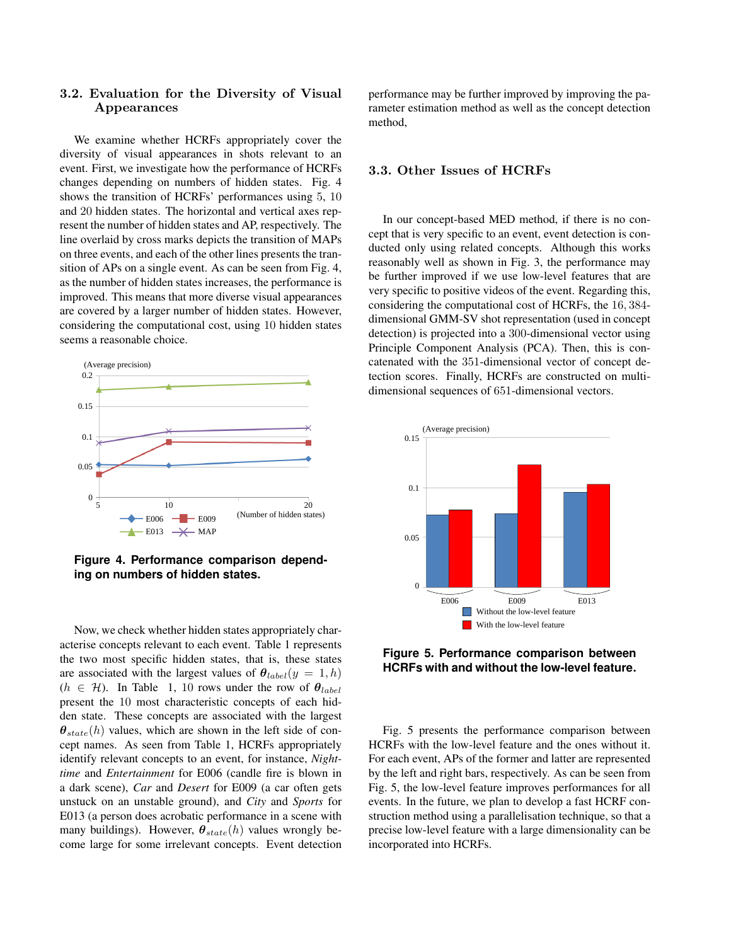# 3.2. Evaluation for the Diversity of Visual Appearances

We examine whether HCRFs appropriately cover the diversity of visual appearances in shots relevant to an event. First, we investigate how the performance of HCRFs changes depending on numbers of hidden states. Fig. 4 shows the transition of HCRFs' performances using 5, 10 and 20 hidden states. The horizontal and vertical axes represent the number of hidden states and AP, respectively. The line overlaid by cross marks depicts the transition of MAPs on three events, and each of the other lines presents the transition of APs on a single event. As can be seen from Fig. 4, as the number of hidden states increases, the performance is improved. This means that more diverse visual appearances are covered by a larger number of hidden states. However, considering the computational cost, using 10 hidden states seems a reasonable choice.



**Figure 4. Performance comparison depending on numbers of hidden states.**

Now, we check whether hidden states appropriately characterise concepts relevant to each event. Table 1 represents the two most specific hidden states, that is, these states are associated with the largest values of  $\theta_{label}(y = 1, h)$  $(h \in \mathcal{H})$ . In Table 1, 10 rows under the row of  $\theta_{label}$ present the 10 most characteristic concepts of each hidden state. These concepts are associated with the largest  $\theta_{state}(h)$  values, which are shown in the left side of concept names. As seen from Table 1, HCRFs appropriately identify relevant concepts to an event, for instance, *Nighttime* and *Entertainment* for E006 (candle fire is blown in a dark scene), *Car* and *Desert* for E009 (a car often gets unstuck on an unstable ground), and *City* and *Sports* for E013 (a person does acrobatic performance in a scene with many buildings). However,  $\theta_{state}(h)$  values wrongly become large for some irrelevant concepts. Event detection performance may be further improved by improving the parameter estimation method as well as the concept detection method,

## 3.3. Other Issues of HCRFs

In our concept-based MED method, if there is no concept that is very specific to an event, event detection is conducted only using related concepts. Although this works reasonably well as shown in Fig. 3, the performance may be further improved if we use low-level features that are very specific to positive videos of the event. Regarding this, considering the computational cost of HCRFs, the 16, 384 dimensional GMM-SV shot representation (used in concept detection) is projected into a 300-dimensional vector using Principle Component Analysis (PCA). Then, this is concatenated with the 351-dimensional vector of concept detection scores. Finally, HCRFs are constructed on multidimensional sequences of 651-dimensional vectors.



**Figure 5. Performance comparison between HCRFs with and without the low-level feature.**

Fig. 5 presents the performance comparison between HCRFs with the low-level feature and the ones without it. For each event, APs of the former and latter are represented by the left and right bars, respectively. As can be seen from Fig. 5, the low-level feature improves performances for all events. In the future, we plan to develop a fast HCRF construction method using a parallelisation technique, so that a precise low-level feature with a large dimensionality can be incorporated into HCRFs.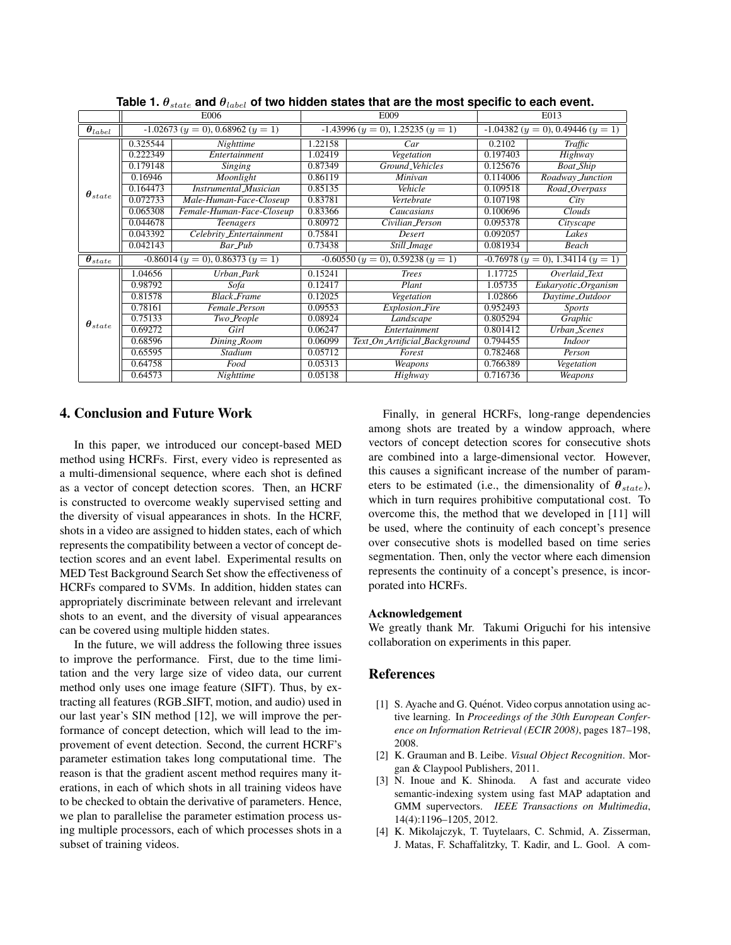|                               | E006                                |                              | E009                                |                               | E013                                |                     |
|-------------------------------|-------------------------------------|------------------------------|-------------------------------------|-------------------------------|-------------------------------------|---------------------|
| $\boldsymbol{\theta}_{label}$ | $-1.02673 (y = 0), 0.68962 (y = 1)$ |                              | $-1.43996 (y = 0), 1.25235 (y = 1)$ |                               | $-1.04382 (y = 0), 0.49446 (y = 1)$ |                     |
| $\boldsymbol{\theta}_{state}$ | 0.325544                            | Nighttime                    | 1.22158                             | Car                           | 0.2102                              | Traffic             |
|                               | 0.222349                            | Entertainment                | 1.02419                             | Vegetation                    | 0.197403                            | Highway             |
|                               | 0.179148                            | Singing                      | 0.87349                             | Ground_Vehicles               | 0.125676                            | <b>Boat_Ship</b>    |
|                               | 0.16946                             | Moonlight                    | 0.86119                             | Minivan                       | 0.114006                            | Roadway_Junction    |
|                               | 0.164473                            | <b>Instrumental</b> Musician | 0.85135                             | Vehicle                       | 0.109518                            | Road_Overpass       |
|                               | 0.072733                            | Male-Human-Face-Closeup      | 0.83781                             | Vertebrate                    | 0.107198                            | City                |
|                               | 0.065308                            | Female-Human-Face-Closeup    | 0.83366                             | Caucasians                    | 0.100696                            | Clouds              |
|                               | 0.044678                            | <b>Teenagers</b>             | 0.80972                             | Civilian_Person               | 0.095378                            | Cityscape           |
|                               | 0.043392                            | Celebrity_Entertainment      | 0.75841                             | Desert                        | 0.092057                            | Lakes               |
|                               | 0.042143                            | Bar_Pub                      | 0.73438                             | Still <i>Image</i>            | 0.081934                            | Beach               |
| $\boldsymbol{\theta}_{state}$ | $-0.86014 (y = 0), 0.86373 (y = 1)$ |                              | $-0.60550 (y = 0), 0.59238 (y = 1)$ |                               | $-0.76978 (y = 0), 1.34114 (y = 1)$ |                     |
| $\bm{\theta}_{state}$         | 1.04656                             | Urban_Park                   | 0.15241                             | <b>Trees</b>                  | 1.17725                             | Overlaid_Text       |
|                               | 0.98792                             | Sofa                         | 0.12417                             | Plant                         | 1.05735                             | Eukaryotic_Organism |
|                               | 0.81578                             | <b>Black_Frame</b>           | 0.12025                             | Vegetation                    | 1.02866                             | Daytime_Outdoor     |
|                               | 0.78161                             | Female_Person                | 0.09553                             | <b>Explosion_Fire</b>         | 0.952493                            | <i>Sports</i>       |
|                               | 0.75133                             | Two_People                   | 0.08924                             | Landscape                     | 0.805294                            | Graphic             |
|                               | 0.69272                             | Girl                         | 0.06247                             | Entertainment                 | 0.801412                            | <b>Urban_Scenes</b> |
|                               | 0.68596                             | Dining_Room                  | 0.06099                             | Text_On_Artificial_Background | 0.794455                            | <i>Indoor</i>       |
|                               | 0.65595                             | Stadium                      | 0.05712                             | Forest                        | 0.782468                            | Person              |
|                               | 0.64758                             | Food                         | 0.05313                             | Weapons                       | 0.766389                            | Vegetation          |
|                               | 0.64573                             | Nighttime                    | 0.05138                             | Highway                       | 0.716736                            | Weapons             |

**Table 1.** θstate **and** θlabel **of two hidden states that are the most specific to each event.**

# 4. Conclusion and Future Work

In this paper, we introduced our concept-based MED method using HCRFs. First, every video is represented as a multi-dimensional sequence, where each shot is defined as a vector of concept detection scores. Then, an HCRF is constructed to overcome weakly supervised setting and the diversity of visual appearances in shots. In the HCRF, shots in a video are assigned to hidden states, each of which represents the compatibility between a vector of concept detection scores and an event label. Experimental results on MED Test Background Search Set show the effectiveness of HCRFs compared to SVMs. In addition, hidden states can appropriately discriminate between relevant and irrelevant shots to an event, and the diversity of visual appearances can be covered using multiple hidden states.

In the future, we will address the following three issues to improve the performance. First, due to the time limitation and the very large size of video data, our current method only uses one image feature (SIFT). Thus, by extracting all features (RGB SIFT, motion, and audio) used in our last year's SIN method [12], we will improve the performance of concept detection, which will lead to the improvement of event detection. Second, the current HCRF's parameter estimation takes long computational time. The reason is that the gradient ascent method requires many iterations, in each of which shots in all training videos have to be checked to obtain the derivative of parameters. Hence, we plan to parallelise the parameter estimation process using multiple processors, each of which processes shots in a subset of training videos.

Finally, in general HCRFs, long-range dependencies among shots are treated by a window approach, where vectors of concept detection scores for consecutive shots are combined into a large-dimensional vector. However, this causes a significant increase of the number of parameters to be estimated (i.e., the dimensionality of  $\theta_{state}$ ), which in turn requires prohibitive computational cost. To overcome this, the method that we developed in [11] will be used, where the continuity of each concept's presence over consecutive shots is modelled based on time series segmentation. Then, only the vector where each dimension represents the continuity of a concept's presence, is incorporated into HCRFs.

#### Acknowledgement

We greatly thank Mr. Takumi Origuchi for his intensive collaboration on experiments in this paper.

#### References

- [1] S. Ayache and G. Quénot. Video corpus annotation using active learning. In *Proceedings of the 30th European Conference on Information Retrieval (ECIR 2008)*, pages 187–198, 2008.
- [2] K. Grauman and B. Leibe. *Visual Object Recognition*. Morgan & Claypool Publishers, 2011.
- [3] N. Inoue and K. Shinoda. A fast and accurate video semantic-indexing system using fast MAP adaptation and GMM supervectors. *IEEE Transactions on Multimedia*, 14(4):1196–1205, 2012.
- [4] K. Mikolajczyk, T. Tuytelaars, C. Schmid, A. Zisserman, J. Matas, F. Schaffalitzky, T. Kadir, and L. Gool. A com-